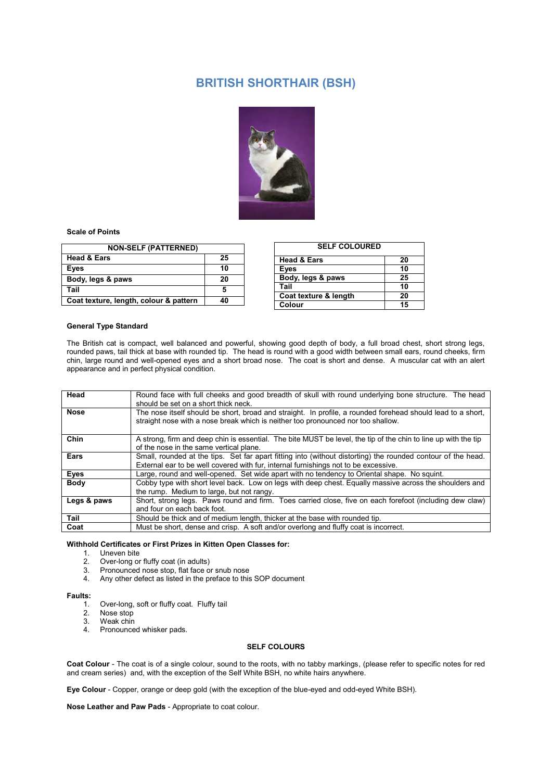## **BRITISH SHORTHAIR (BSH)**



## **Scale of Points**

| <b>NON-SELF (PATTERNED)</b>            |    |
|----------------------------------------|----|
| <b>Head &amp; Ears</b>                 | 25 |
| Eyes                                   | 10 |
| Body, legs & paws                      | 20 |
| Tail                                   | 5  |
| Coat texture, length, colour & pattern |    |

| <b>SELF COLOURED</b>   |    |
|------------------------|----|
| <b>Head &amp; Ears</b> | 20 |
| Eyes                   | 10 |
| Body, legs & paws      | 25 |
| Tail                   | 10 |
| Coat texture & length  | 20 |
| Colour                 | 15 |

## **General Type Standard**

The British cat is compact, well balanced and powerful, showing good depth of body, a full broad chest, short strong legs, rounded paws, tail thick at base with rounded tip. The head is round with a good width between small ears, round cheeks, firm chin, large round and well-opened eyes and a short broad nose. The coat is short and dense. A muscular cat with an alert appearance and in perfect physical condition.

| Head        | Round face with full cheeks and good breadth of skull with round underlying bone structure. The head<br>should be set on a short thick neck.                                                        |
|-------------|-----------------------------------------------------------------------------------------------------------------------------------------------------------------------------------------------------|
| <b>Nose</b> | The nose itself should be short, broad and straight. In profile, a rounded forehead should lead to a short,<br>straight nose with a nose break which is neither too pronounced nor too shallow.     |
| Chin        | A strong, firm and deep chin is essential. The bite MUST be level, the tip of the chin to line up with the tip<br>of the nose in the same vertical plane.                                           |
| Ears        | Small, rounded at the tips. Set far apart fitting into (without distorting) the rounded contour of the head.<br>External ear to be well covered with fur, internal furnishings not to be excessive. |
| Eyes        | Large, round and well-opened. Set wide apart with no tendency to Oriental shape. No squint.                                                                                                         |
| <b>Body</b> | Cobby type with short level back. Low on legs with deep chest. Equally massive across the shoulders and<br>the rump. Medium to large, but not rangy.                                                |
| Legs & paws | Short, strong legs. Paws round and firm. Toes carried close, five on each forefoot (including dew claw)<br>and four on each back foot.                                                              |
| Tail        | Should be thick and of medium length, thicker at the base with rounded tip.                                                                                                                         |
| Coat        | Must be short, dense and crisp. A soft and/or overlong and fluffy coat is incorrect.                                                                                                                |

## **Withhold Certificates or First Prizes in Kitten Open Classes for:**

- 1. Uneven bite
- 2. Over-long or fluffy coat (in adults)
- 3. Pronounced nose stop, flat face or snub nose
- 4. Any other defect as listed in the preface to this SOP document

# **Faults:**

- 1. Over-long, soft or fluffy coat. Fluffy tail
- Nose stop
- 3. Weak chin
- Pronounced whisker pads.

## **SELF COLOURS**

**Coat Colour** - The coat is of a single colour, sound to the roots, with no tabby markings, (please refer to specific notes for red and cream series) and, with the exception of the Self White BSH, no white hairs anywhere.

**Eye Colour** - Copper, orange or deep gold (with the exception of the blue-eyed and odd-eyed White BSH).

**Nose Leather and Paw Pads** - Appropriate to coat colour.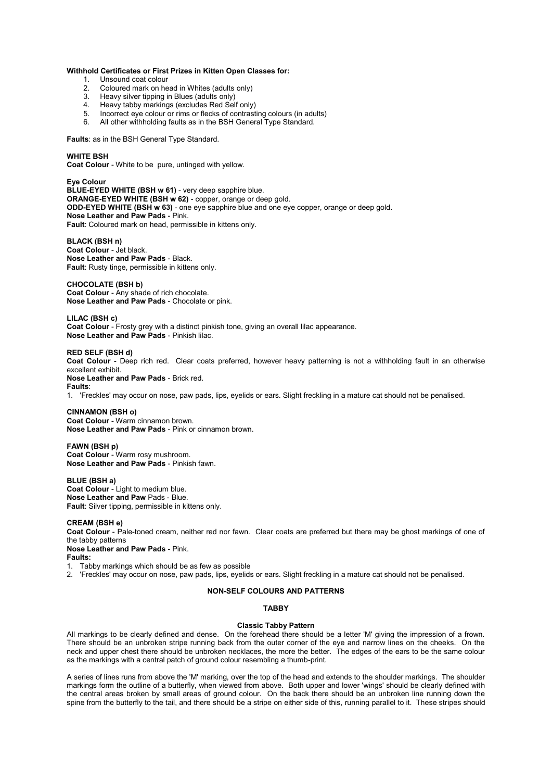#### **Withhold Certificates or First Prizes in Kitten Open Classes for:**

- 1. Unsound coat colour<br>2. Coloured mark on he
- 2. Coloured mark on head in Whites (adults only)<br>3. Heavy silver tipping in Blues (adults only)
- Heavy silver tipping in Blues (adults only)
- 4. Heavy tabby markings (excludes Red Self only)
- 5. Incorrect eye colour or rims or flecks of contrasting colours (in adults)
- 6. All other withholding faults as in the BSH General Type Standard.

**Faults**: as in the BSH General Type Standard.

#### **WHITE BSH**

**Coat Colour** - White to be pure, untinged with yellow.

**Eye Colour BLUE-EYED WHITE (BSH w 61)** - very deep sapphire blue. **ORANGE-EYED WHITE (BSH w 62)** - copper, orange or deep gold. **ODD-EYED WHITE (BSH w 63)** - one eye sapphire blue and one eye copper, orange or deep gold. **Nose Leather and Paw Pads** - Pink. **Fault**: Coloured mark on head, permissible in kittens only.

#### **BLACK (BSH n)**

**Coat Colour** - Jet black. **Nose Leather and Paw Pads** - Black. **Fault**: Rusty tinge, permissible in kittens only.

#### **CHOCOLATE (BSH b)**

**Coat Colour** - Any shade of rich chocolate. **Nose Leather and Paw Pads** - Chocolate or pink.

#### **LILAC (BSH c)**

**Coat Colour** - Frosty grey with a distinct pinkish tone, giving an overall lilac appearance. **Nose Leather and Paw Pads** - Pinkish lilac.

## **RED SELF (BSH d)**

**Coat Colour** - Deep rich red. Clear coats preferred, however heavy patterning is not a withholding fault in an otherwise excellent exhibit.

**Nose Leather and Paw Pads** - Brick red. **Faults**:

1. 'Freckles' may occur on nose, paw pads, lips, eyelids or ears. Slight freckling in a mature cat should not be penalised.

#### **CINNAMON (BSH o)**

**Coat Colour** - Warm cinnamon brown. **Nose Leather and Paw Pads** - Pink or cinnamon brown.

## **FAWN (BSH p)**

**Coat Colour** - Warm rosy mushroom. **Nose Leather and Paw Pads** - Pinkish fawn.

**BLUE (BSH a) Coat Colour** - Light to medium blue. **Nose Leather and Paw** Pads - Blue. **Fault**: Silver tipping, permissible in kittens only.

#### **CREAM (BSH e)**

**Coat Colour** - Pale-toned cream, neither red nor fawn. Clear coats are preferred but there may be ghost markings of one of the tabby patterns

**Nose Leather and Paw Pads** - Pink. **Faults:** 

1. Tabby markings which should be as few as possible

2. 'Freckles' may occur on nose, paw pads, lips, eyelids or ears. Slight freckling in a mature cat should not be penalised.

## **NON-SELF COLOURS AND PATTERNS**

## **TABBY**

## **Classic Tabby Pattern**

All markings to be clearly defined and dense. On the forehead there should be a letter 'M' giving the impression of a frown. There should be an unbroken stripe running back from the outer corner of the eye and narrow lines on the cheeks. On the neck and upper chest there should be unbroken necklaces, the more the better. The edges of the ears to be the same colour as the markings with a central patch of ground colour resembling a thumb-print.

A series of lines runs from above the 'M' marking, over the top of the head and extends to the shoulder markings. The shoulder markings form the outline of a butterfly, when viewed from above. Both upper and lower 'wings' should be clearly defined with the central areas broken by small areas of ground colour. On the back there should be an unbroken line running down the spine from the butterfly to the tail, and there should be a stripe on either side of this, running parallel to it. These stripes should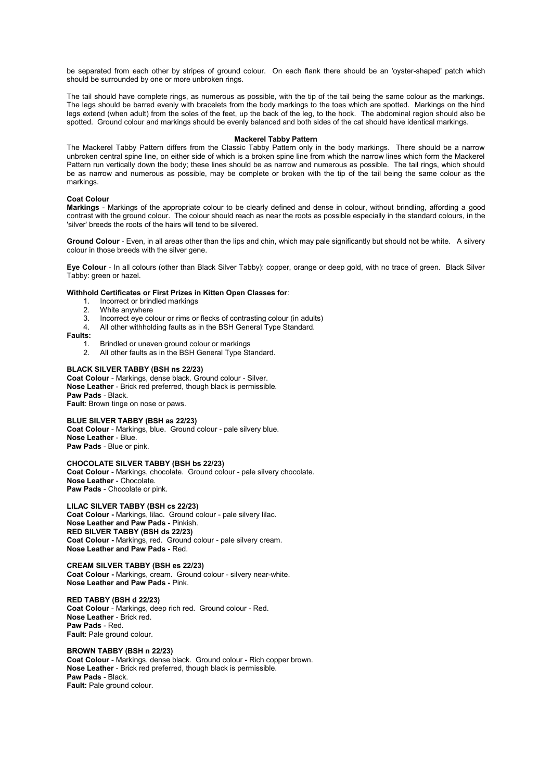be separated from each other by stripes of ground colour. On each flank there should be an 'oyster-shaped' patch which should be surrounded by one or more unbroken rings.

The tail should have complete rings, as numerous as possible, with the tip of the tail being the same colour as the markings. The legs should be barred evenly with bracelets from the body markings to the toes which are spotted. Markings on the hind legs extend (when adult) from the soles of the feet, up the back of the leg, to the hock. The abdominal region should also be spotted. Ground colour and markings should be evenly balanced and both sides of the cat should have identical markings.

#### **Mackerel Tabby Pattern**

The Mackerel Tabby Pattern differs from the Classic Tabby Pattern only in the body markings. There should be a narrow unbroken central spine line, on either side of which is a broken spine line from which the narrow lines which form the Mackerel Pattern run vertically down the body; these lines should be as narrow and numerous as possible. The tail rings, which should be as narrow and numerous as possible, may be complete or broken with the tip of the tail being the same colour as the markings.

### **Coat Colour**

**Markings** - Markings of the appropriate colour to be clearly defined and dense in colour, without brindling, affording a good contrast with the ground colour. The colour should reach as near the roots as possible especially in the standard colours, in the 'silver' breeds the roots of the hairs will tend to be silvered.

**Ground Colour** - Even, in all areas other than the lips and chin, which may pale significantly but should not be white. A silvery colour in those breeds with the silver gene.

**Eye Colour** - In all colours (other than Black Silver Tabby): copper, orange or deep gold, with no trace of green. Black Silver Tabby: green or hazel.

#### **Withhold Certificates or First Prizes in Kitten Open Classes for**:

- 1. Incorrect or brindled markings<br>2. White anywhere
- 2. White anywhere<br>3. Incorrect eve col
- Incorrect eye colour or rims or flecks of contrasting colour (in adults)
- 4. All other withholding faults as in the BSH General Type Standard.

#### **Faults:**

- 1. Brindled or uneven ground colour or markings<br>2. All other faults as in the BSH General Type Sta
- All other faults as in the BSH General Type Standard.

#### **BLACK SILVER TABBY (BSH ns 22/23)**

**Coat Colour** - Markings, dense black. Ground colour - Silver. **Nose Leather** - Brick red preferred, though black is permissible. **Paw Pads** - Black. **Fault**: Brown tinge on nose or paws.

**BLUE SILVER TABBY (BSH as 22/23) Coat Colour** - Markings, blue. Ground colour - pale silvery blue. **Nose Leather** - Blue. **Paw Pads** - Blue or pink.

#### **CHOCOLATE SILVER TABBY (BSH bs 22/23)**

**Coat Colour** - Markings, chocolate. Ground colour - pale silvery chocolate. **Nose Leather** - Chocolate. **Paw Pads** - Chocolate or pink.

**LILAC SILVER TABBY (BSH cs 22/23)** 

**Coat Colour -** Markings, lilac. Ground colour - pale silvery lilac. **Nose Leather and Paw Pads** - Pinkish. **RED SILVER TABBY (BSH ds 22/23) Coat Colour -** Markings, red. Ground colour - pale silvery cream. **Nose Leather and Paw Pads** - Red.

#### **CREAM SILVER TABBY (BSH es 22/23)**

**Coat Colour -** Markings, cream. Ground colour - silvery near-white. **Nose Leather and Paw Pads** - Pink.

**RED TABBY (BSH d 22/23) Coat Colour** - Markings, deep rich red. Ground colour - Red. **Nose Leather** - Brick red. **Paw Pads** - Red. **Fault**: Pale ground colour.

#### **BROWN TABBY (BSH n 22/23) Coat Colour** - Markings, dense black. Ground colour - Rich copper brown. **Nose Leather** - Brick red preferred, though black is permissible. **Paw Pads** - Black. **Fault: Pale ground colour.**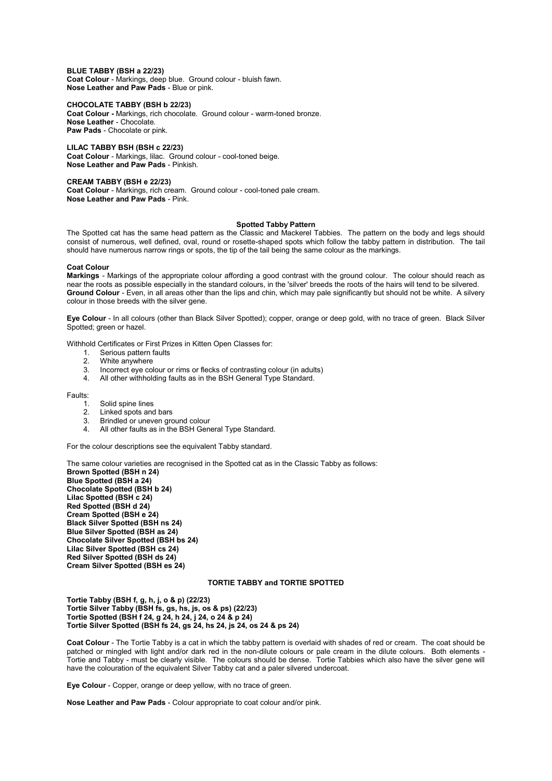**BLUE TABBY (BSH a 22/23) Coat Colour** - Markings, deep blue. Ground colour - bluish fawn. **Nose Leather and Paw Pads** - Blue or pink.

**CHOCOLATE TABBY (BSH b 22/23)** 

**Coat Colour -** Markings, rich chocolate. Ground colour - warm-toned bronze. **Nose Leather** - Chocolate. **Paw Pads** - Chocolate or pink.

**LILAC TABBY BSH (BSH c 22/23)** 

**Coat Colour** - Markings, lilac. Ground colour - cool-toned beige. **Nose Leather and Paw Pads** - Pinkish.

**CREAM TABBY (BSH e 22/23)** 

**Coat Colour** - Markings, rich cream. Ground colour - cool-toned pale cream. **Nose Leather and Paw Pads** - Pink.

#### **Spotted Tabby Pattern**

The Spotted cat has the same head pattern as the Classic and Mackerel Tabbies. The pattern on the body and legs should consist of numerous, well defined, oval, round or rosette-shaped spots which follow the tabby pattern in distribution. The tail should have numerous narrow rings or spots, the tip of the tail being the same colour as the markings.

#### **Coat Colour**

**Markings** - Markings of the appropriate colour affording a good contrast with the ground colour. The colour should reach as near the roots as possible especially in the standard colours, in the 'silver' breeds the roots of the hairs will tend to be silvered. **Ground Colour** - Even, in all areas other than the lips and chin, which may pale significantly but should not be white. A silvery colour in those breeds with the silver gene.

**Eye Colour** - In all colours (other than Black Silver Spotted); copper, orange or deep gold, with no trace of green. Black Silver Spotted; green or hazel.

Withhold Certificates or First Prizes in Kitten Open Classes for:

- 1. Serious pattern faults<br>2. White anywhere
- 2. White anywhere<br>3. Incorrect eve col
- Incorrect eye colour or rims or flecks of contrasting colour (in adults)
- 4. All other withholding faults as in the BSH General Type Standard.

Faults:

- 1. Solid spine lines<br>2. Linked spots and
- 2. Linked spots and bars<br>3. Brindled or uneven ard
- 3. Brindled or uneven ground colour<br>4. All other faults as in the BSH Gen
- All other faults as in the BSH General Type Standard.

For the colour descriptions see the equivalent Tabby standard.

The same colour varieties are recognised in the Spotted cat as in the Classic Tabby as follows: **Brown Spotted (BSH n 24) Blue Spotted (BSH a 24) Chocolate Spotted (BSH b 24) Lilac Spotted (BSH c 24) Red Spotted (BSH d 24) Cream Spotted (BSH e 24) Black Silver Spotted (BSH ns 24) Blue Silver Spotted (BSH as 24) Chocolate Silver Spotted (BSH bs 24) Lilac Silver Spotted (BSH cs 24) Red Silver Spotted (BSH ds 24) Cream Silver Spotted (BSH es 24)** 

### **TORTIE TABBY and TORTIE SPOTTED**

**Tortie Tabby (BSH f, g, h, j, o & p) (22/23) Tortie Silver Tabby (BSH fs, gs, hs, js, os & ps) (22/23) Tortie Spotted (BSH f 24, g 24, h 24, j 24, o 24 & p 24) Tortie Silver Spotted (BSH fs 24, gs 24, hs 24, js 24, os 24 & ps 24)** 

**Coat Colour** - The Tortie Tabby is a cat in which the tabby pattern is overlaid with shades of red or cream. The coat should be patched or mingled with light and/or dark red in the non-dilute colours or pale cream in the dilute colours. Both elements -Tortie and Tabby - must be clearly visible. The colours should be dense. Tortie Tabbies which also have the silver gene will have the colouration of the equivalent Silver Tabby cat and a paler silvered undercoat.

**Eye Colour** - Copper, orange or deep yellow, with no trace of green.

**Nose Leather and Paw Pads** - Colour appropriate to coat colour and/or pink.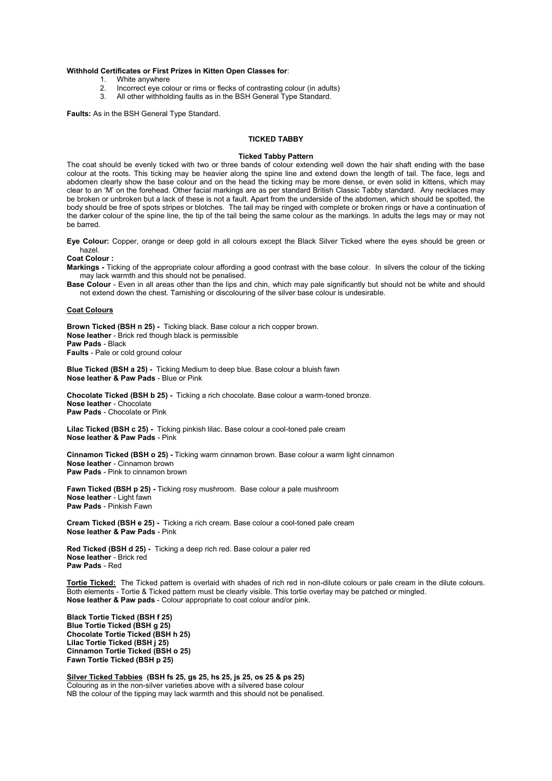#### **Withhold Certificates or First Prizes in Kitten Open Classes for**:

- 1. White anywhere<br>2. Incorrect eve col
- 2. Incorrect eye colour or rims or flecks of contrasting colour (in adults)<br>3. All other withholding faults as in the BSH General Type Standard.
- All other withholding faults as in the BSH General Type Standard.

**Faults:** As in the BSH General Type Standard.

## **TICKED TABBY**

#### **Ticked Tabby Pattern**

The coat should be evenly ticked with two or three bands of colour extending well down the hair shaft ending with the base colour at the roots. This ticking may be heavier along the spine line and extend down the length of tail. The face, legs and abdomen clearly show the base colour and on the head the ticking may be more dense, or even solid in kittens, which may clear to an 'M' on the forehead. Other facial markings are as per standard British Classic Tabby standard. Any necklaces may be broken or unbroken but a lack of these is not a fault. Apart from the underside of the abdomen, which should be spotted, the body should be free of spots stripes or blotches. The tail may be ringed with complete or broken rings or have a continuation of the darker colour of the spine line, the tip of the tail being the same colour as the markings. In adults the legs may or may not be barred.

**Eye Colour:** Copper, orange or deep gold in all colours except the Black Silver Ticked where the eyes should be green or hazel.

**Coat Colour :** 

**Markings -** Ticking of the appropriate colour affording a good contrast with the base colour. In silvers the colour of the ticking may lack warmth and this should not be penalised.

**Base Colour** - Even in all areas other than the lips and chin, which may pale significantly but should not be white and should not extend down the chest. Tarnishing or discolouring of the silver base colour is undesirable.

#### **Coat Colours**

**Brown Ticked (BSH n 25) -** Ticking black. Base colour a rich copper brown. **Nose leather** - Brick red though black is permissible **Paw Pads** - Black **Faults** - Pale or cold ground colour

**Blue Ticked (BSH a 25) -** Ticking Medium to deep blue. Base colour a bluish fawn **Nose leather & Paw Pads** - Blue or Pink

**Chocolate Ticked (BSH b 25) -** Ticking a rich chocolate. Base colour a warm-toned bronze. **Nose leather** - Chocolate **Paw Pads** - Chocolate or Pink

**Lilac Ticked (BSH c 25) -** Ticking pinkish lilac. Base colour a cool-toned pale cream **Nose leather & Paw Pads** - Pink

**Cinnamon Ticked (BSH o 25) -** Ticking warm cinnamon brown. Base colour a warm light cinnamon **Nose leather** - Cinnamon brown **Paw Pads** - Pink to cinnamon brown

**Fawn Ticked (BSH p 25) -** Ticking rosy mushroom. Base colour a pale mushroom **Nose leather** - Light fawn **Paw Pads** - Pinkish Fawn

**Cream Ticked (BSH e 25) -** Ticking a rich cream. Base colour a cool-toned pale cream **Nose leather & Paw Pads** - Pink

**Red Ticked (BSH d 25) -** Ticking a deep rich red. Base colour a paler red **Nose leather** - Brick red **Paw Pads** - Red

**Tortie Ticked:** The Ticked pattern is overlaid with shades of rich red in non-dilute colours or pale cream in the dilute colours. Both elements - Tortie & Ticked pattern must be clearly visible. This tortie overlay may be patched or mingled. **Nose leather & Paw pads** - Colour appropriate to coat colour and/or pink.

**Black Tortie Ticked (BSH f 25) Blue Tortie Ticked (BSH g 25) Chocolate Tortie Ticked (BSH h 25) Lilac Tortie Ticked (BSH j 25) Cinnamon Tortie Ticked (BSH o 25) Fawn Tortie Ticked (BSH p 25)** 

**Silver Ticked Tabbies (BSH fs 25, gs 25, hs 25, js 25, os 25 & ps 25)**  Colouring as in the non-silver varieties above with a silvered base colour NB the colour of the tipping may lack warmth and this should not be penalised.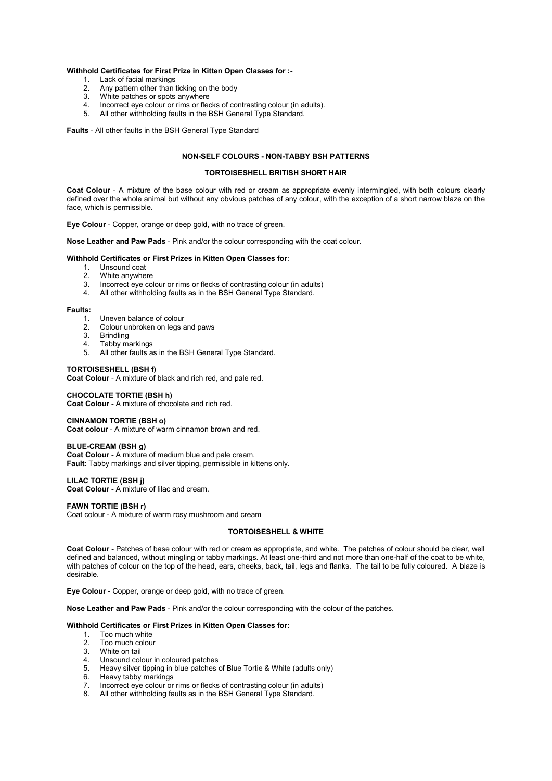#### **Withhold Certificates for First Prize in Kitten Open Classes for :-**

- 1. Lack of facial markings<br>2. Any pattern other than
- 2. Any pattern other than ticking on the body<br>3. White patches or spots anywhere
- 3. White patches or spots anywhere<br>4. Incorrect eve colour or rims or flex
- 4. Incorrect eye colour or rims or flecks of contrasting colour (in adults).
- 5. All other withholding faults in the BSH General Type Standard.

**Faults** - All other faults in the BSH General Type Standard

### **NON-SELF COLOURS - NON-TABBY BSH PATTERNS**

#### **TORTOISESHELL BRITISH SHORT HAIR**

**Coat Colour** - A mixture of the base colour with red or cream as appropriate evenly intermingled, with both colours clearly defined over the whole animal but without any obvious patches of any colour, with the exception of a short narrow blaze on the face, which is permissible.

**Eye Colour** - Copper, orange or deep gold, with no trace of green.

**Nose Leather and Paw Pads** - Pink and/or the colour corresponding with the coat colour.

#### **Withhold Certificates or First Prizes in Kitten Open Classes for**:

- 1. Unsound coat<br>2. White anywhe
- 2. White anywhere<br>3. Incorrect eve co
- Incorrect eye colour or rims or flecks of contrasting colour (in adults)
- 4. All other withholding faults as in the BSH General Type Standard.

#### **Faults:**

- 1. Uneven balance of colour
- 2. Colour unbroken on legs and paws<br>3. Brindling
- 3. Brindling<br>4. Tabby ma
- Tabby markings
- 5. All other faults as in the BSH General Type Standard.

#### **TORTOISESHELL (BSH f)**

**Coat Colour** - A mixture of black and rich red, and pale red.

#### **CHOCOLATE TORTIE (BSH h)**

**Coat Colour** - A mixture of chocolate and rich red.

## **CINNAMON TORTIE (BSH o)**

**Coat colour** - A mixture of warm cinnamon brown and red.

## **BLUE-CREAM (BSH g)**

**Coat Colour** - A mixture of medium blue and pale cream. **Fault**: Tabby markings and silver tipping, permissible in kittens only.

#### **LILAC TORTIE (BSH j)**

**Coat Colour** - A mixture of lilac and cream.

#### **FAWN TORTIE (BSH r)**

Coat colour - A mixture of warm rosy mushroom and cream

#### **TORTOISESHELL & WHITE**

**Coat Colour** - Patches of base colour with red or cream as appropriate, and white. The patches of colour should be clear, well defined and balanced, without mingling or tabby markings. At least one-third and not more than one-half of the coat to be white, with patches of colour on the top of the head, ears, cheeks, back, tail, legs and flanks. The tail to be fully coloured. A blaze is desirable.

**Eye Colour** - Copper, orange or deep gold, with no trace of green.

**Nose Leather and Paw Pads** - Pink and/or the colour corresponding with the colour of the patches.

#### **Withhold Certificates or First Prizes in Kitten Open Classes for:**

- 1. Too much white<br>2. Too much colou
- 2. Too much colour<br>3. White on tail
- White on tail
- 4. Unsound colour in coloured patches<br>5. Heavy silver tipping in blue patches
- 5. Heavy silver tipping in blue patches of Blue Tortie & White (adults only)<br>6. Heavy tabby markings
- Heavy tabby markings
- 7. Incorrect eye colour or rims or flecks of contrasting colour (in adults)
- 8. All other withholding faults as in the BSH General Type Standard.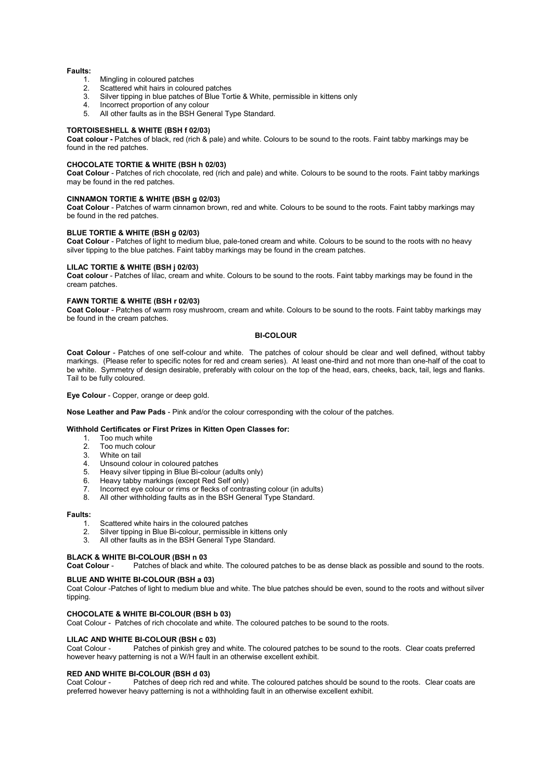#### **Faults:**

- 1. Mingling in coloured patches<br>2. Scattered whit hairs in colour
- 2. Scattered whit hairs in coloured patches<br>3. Silver tipping in blue patches of Blue Tor
- Silver tipping in blue patches of Blue Tortie & White, permissible in kittens only
- 4. Incorrect proportion of any colour
- 5. All other faults as in the BSH General Type Standard.

#### **TORTOISESHELL & WHITE (BSH f 02/03)**

**Coat colour -** Patches of black, red (rich & pale) and white. Colours to be sound to the roots. Faint tabby markings may be found in the red patches.

#### **CHOCOLATE TORTIE & WHITE (BSH h 02/03)**

**Coat Colour** - Patches of rich chocolate, red (rich and pale) and white. Colours to be sound to the roots. Faint tabby markings may be found in the red patches.

#### **CINNAMON TORTIE & WHITE (BSH g 02/03)**

**Coat Colour** - Patches of warm cinnamon brown, red and white. Colours to be sound to the roots. Faint tabby markings may be found in the red patches.

## **BLUE TORTIE & WHITE (BSH g 02/03)**

**Coat Colour** - Patches of light to medium blue, pale-toned cream and white. Colours to be sound to the roots with no heavy silver tipping to the blue patches. Faint tabby markings may be found in the cream patches.

#### **LILAC TORTIE & WHITE (BSH j 02/03)**

**Coat colour** - Patches of lilac, cream and white. Colours to be sound to the roots. Faint tabby markings may be found in the cream patches.

#### **FAWN TORTIE & WHITE (BSH r 02/03)**

**Coat Colour** - Patches of warm rosy mushroom, cream and white. Colours to be sound to the roots. Faint tabby markings may be found in the cream patches.

#### **BI-COLOUR**

**Coat Colour** - Patches of one self-colour and white. The patches of colour should be clear and well defined, without tabby markings. (Please refer to specific notes for red and cream series). At least one-third and not more than one-half of the coat to be white. Symmetry of design desirable, preferably with colour on the top of the head, ears, cheeks, back, tail, legs and flanks. Tail to be fully coloured.

**Eye Colour** - Copper, orange or deep gold.

**Nose Leather and Paw Pads** - Pink and/or the colour corresponding with the colour of the patches.

## **Withhold Certificates or First Prizes in Kitten Open Classes for:**

- Too much white
- 2. Too much colour<br>3. White on tail
- 3. White on tail
- Unsound colour in coloured patches
- 5. Heavy silver tipping in Blue Bi-colour (adults only)
- 6. Heavy tabby markings (except Red Self only)
- 7. Incorrect eye colour or rims or flecks of contrasting colour (in adults)<br>8. All other withholding faults as in the RSH General Type Standard
- All other withholding faults as in the BSH General Type Standard.

## **Faults:**

- Scattered white hairs in the coloured patches
- 2. Silver tipping in Blue Bi-colour, permissible in kittens only<br>3. All other faults as in the BSH General Type Standard
- All other faults as in the BSH General Type Standard.

## **BLACK & WHITE BI-COLOUR (BSH n 03**<br>Coat Colour - Patches of black and w

Patches of black and white. The coloured patches to be as dense black as possible and sound to the roots.

### **BLUE AND WHITE BI-COLOUR (BSH a 03)**

Coat Colour -Patches of light to medium blue and white. The blue patches should be even, sound to the roots and without silver tipping

## **CHOCOLATE & WHITE BI-COLOUR (BSH b 03)**

Coat Colour - Patches of rich chocolate and white. The coloured patches to be sound to the roots.

## **LILAC AND WHITE BI-COLOUR (BSH c 03)**<br>Coat Colour - Patches of pinkish grev a

Patches of pinkish grey and white. The coloured patches to be sound to the roots. Clear coats preferred however heavy patterning is not a W/H fault in an otherwise excellent exhibit.

# **RED AND WHITE BI-COLOUR (BSH d 03)**<br>Coat Colour - Patches of deep rich red

Patches of deep rich red and white. The coloured patches should be sound to the roots. Clear coats are preferred however heavy patterning is not a withholding fault in an otherwise excellent exhibit.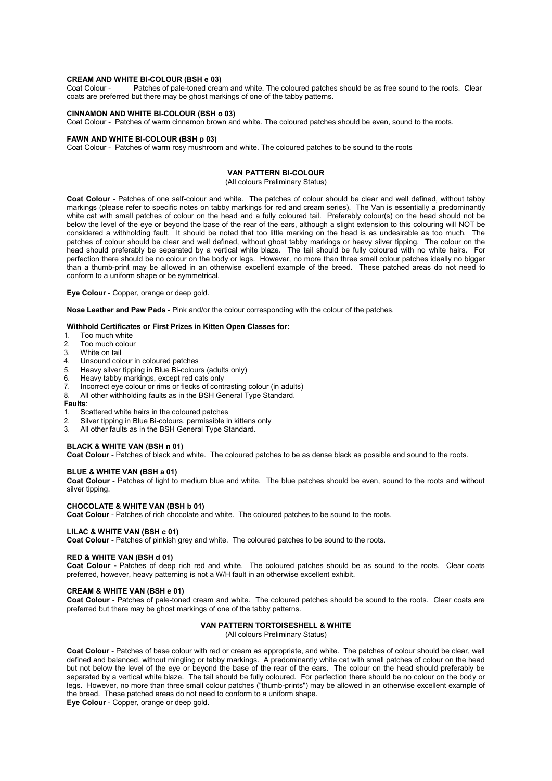## **CREAM AND WHITE BI-COLOUR (BSH e 03)**<br>Coat Colour - Patches of pale-toned crea

Patches of pale-toned cream and white. The coloured patches should be as free sound to the roots. Clear coats are preferred but there may be ghost markings of one of the tabby patterns.

#### **CINNAMON AND WHITE BI-COLOUR (BSH o 03)**

Coat Colour - Patches of warm cinnamon brown and white. The coloured patches should be even, sound to the roots.

## **FAWN AND WHITE BI-COLOUR (BSH p 03)**

Coat Colour - Patches of warm rosy mushroom and white. The coloured patches to be sound to the roots

#### **VAN PATTERN BI-COLOUR**

(All colours Preliminary Status)

**Coat Colour** - Patches of one self-colour and white. The patches of colour should be clear and well defined, without tabby markings (please refer to specific notes on tabby markings for red and cream series). The Van is essentially a predominantly white cat with small patches of colour on the head and a fully coloured tail. Preferably colour(s) on the head should not be below the level of the eye or beyond the base of the rear of the ears, although a slight extension to this colouring will NOT be considered a withholding fault. It should be noted that too little marking on the head is as undesirable as too much. The patches of colour should be clear and well defined, without ghost tabby markings or heavy silver tipping. The colour on the head should preferably be separated by a vertical white blaze. The tail should be fully coloured with no white hairs. For perfection there should be no colour on the body or legs. However, no more than three small colour patches ideally no bigger than a thumb-print may be allowed in an otherwise excellent example of the breed. These patched areas do not need to conform to a uniform shape or be symmetrical.

**Eye Colour** - Copper, orange or deep gold.

**Nose Leather and Paw Pads** - Pink and/or the colour corresponding with the colour of the patches.

#### **Withhold Certificates or First Prizes in Kitten Open Classes for:**

- 1. Too much white
- 2. Too much colour
- 3. White on tail
- 4. Unsound colour in coloured patches<br>5. Heavy silver tinning in Blue Bi-colour
- 5. Heavy silver tipping in Blue Bi-colours (adults only)
- 6. Heavy tabby markings, except red cats only
- 7. Incorrect eye colour or rims or flecks of contrasting colour (in adults)<br>8. All other withholding faults as in the RSH General Type Standard
- All other withholding faults as in the BSH General Type Standard.
- **Faults**:
- 1. Scattered white hairs in the coloured patches<br>2. Silver tinning in Blue Bi-colours, permissible in
- 
- 2. Silver tipping in Blue Bi-colours, permissible in kittens only<br>3. All other faults as in the BSH General Type Standard All other faults as in the BSH General Type Standard.

#### **BLACK & WHITE VAN (BSH n 01)**

**Coat Colour** - Patches of black and white. The coloured patches to be as dense black as possible and sound to the roots.

#### **BLUE & WHITE VAN (BSH a 01)**

**Coat Colour** - Patches of light to medium blue and white. The blue patches should be even, sound to the roots and without silver tipping.

## **CHOCOLATE & WHITE VAN (BSH b 01)**

**Coat Colour** - Patches of rich chocolate and white. The coloured patches to be sound to the roots.

### **LILAC & WHITE VAN (BSH c 01)**

**Coat Colour** - Patches of pinkish grey and white. The coloured patches to be sound to the roots.

#### **RED & WHITE VAN (BSH d 01)**

**Coat Colour -** Patches of deep rich red and white. The coloured patches should be as sound to the roots. Clear coats preferred, however, heavy patterning is not a W/H fault in an otherwise excellent exhibit.

#### **CREAM & WHITE VAN (BSH e 01)**

**Coat Colour** - Patches of pale-toned cream and white. The coloured patches should be sound to the roots. Clear coats are preferred but there may be ghost markings of one of the tabby patterns.

#### **VAN PATTERN TORTOISESHELL & WHITE**

(All colours Preliminary Status)

**Coat Colour** - Patches of base colour with red or cream as appropriate, and white. The patches of colour should be clear, well defined and balanced, without mingling or tabby markings. A predominantly white cat with small patches of colour on the head but not below the level of the eye or beyond the base of the rear of the ears. The colour on the head should preferably be separated by a vertical white blaze. The tail should be fully coloured. For perfection there should be no colour on the body or legs. However, no more than three small colour patches ("thumb-prints") may be allowed in an otherwise excellent example of the breed. These patched areas do not need to conform to a uniform shape.

**Eye Colour** - Copper, orange or deep gold.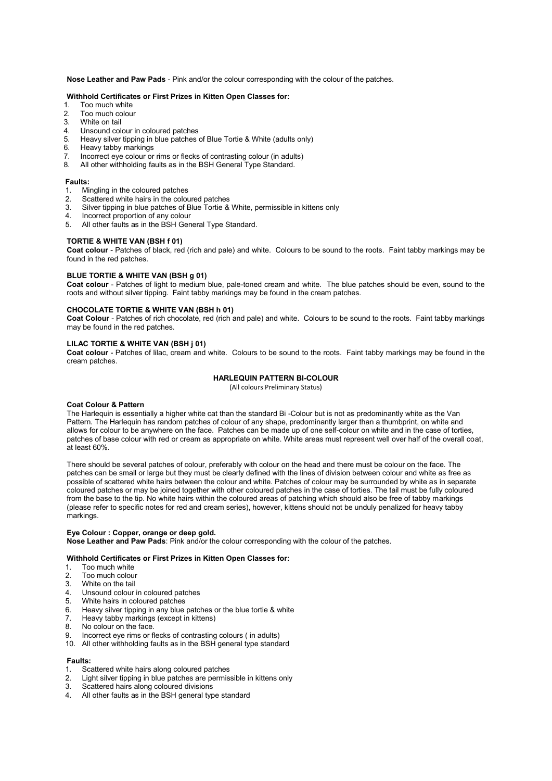**Nose Leather and Paw Pads** - Pink and/or the colour corresponding with the colour of the patches.

### **Withhold Certificates or First Prizes in Kitten Open Classes for:**

- 1. Too much white
- 2. Too much colour<br>3. White on tail
- 3. White on tail<br>4. Unsound col
- 4. Unsound colour in coloured patches
- 5. Heavy silver tipping in blue patches of Blue Tortie & White (adults only)<br>6. Heavy tabby markings
- Heavy tabby markings
- 7. Incorrect eye colour or rims or flecks of contrasting colour (in adults)
- 8. All other withholding faults as in the BSH General Type Standard.

#### **Faults:**

- 1. Mingling in the coloured patches
- 2. Scattered white hairs in the coloured patches<br>3. Silver tinning in blue patches of Blue Tortie &
- 3. Silver tipping in blue patches of Blue Tortie & White, permissible in kittens only
- Incorrect proportion of any colour
- 5. All other faults as in the BSH General Type Standard.

#### **TORTIE & WHITE VAN (BSH f 01)**

**Coat colour** - Patches of black, red (rich and pale) and white. Colours to be sound to the roots. Faint tabby markings may be found in the red patches.

#### **BLUE TORTIE & WHITE VAN (BSH g 01)**

**Coat colour** - Patches of light to medium blue, pale-toned cream and white. The blue patches should be even, sound to the roots and without silver tipping. Faint tabby markings may be found in the cream patches.

#### **CHOCOLATE TORTIE & WHITE VAN (BSH h 01)**

**Coat Colour** - Patches of rich chocolate, red (rich and pale) and white. Colours to be sound to the roots. Faint tabby markings may be found in the red patches.

#### **LILAC TORTIE & WHITE VAN (BSH j 01)**

**Coat colour** - Patches of lilac, cream and white. Colours to be sound to the roots. Faint tabby markings may be found in the cream patches.

#### **HARLEQUIN PATTERN BI-COLOUR**

(All colours Preliminary Status)

#### **Coat Colour & Pattern**

The Harlequin is essentially a higher white cat than the standard Bi -Colour but is not as predominantly white as the Van Pattern. The Harlequin has random patches of colour of any shape, predominantly larger than a thumbprint, on white and allows for colour to be anywhere on the face. Patches can be made up of one self-colour on white and in the case of torties, patches of base colour with red or cream as appropriate on white. White areas must represent well over half of the overall coat, at least 60%.

There should be several patches of colour, preferably with colour on the head and there must be colour on the face. The patches can be small or large but they must be clearly defined with the lines of division between colour and white as free as possible of scattered white hairs between the colour and white. Patches of colour may be surrounded by white as in separate coloured patches or may be joined together with other coloured patches in the case of torties. The tail must be fully coloured from the base to the tip. No white hairs within the coloured areas of patching which should also be free of tabby markings (please refer to specific notes for red and cream series), however, kittens should not be unduly penalized for heavy tabby markings.

**Eye Colour : Copper, orange or deep gold. Nose Leather and Paw Pads**: Pink and/or the colour corresponding with the colour of the patches.

#### **Withhold Certificates or First Prizes in Kitten Open Classes for:**

- 1. Too much white<br>2. Too much colou
- 2. Too much colour
- 3. White on the tail<br>4. **Unsound colour**
- Unsound colour in coloured patches
- 5. White hairs in coloured patches<br>6. Heavy silver tinning in any blue
- 6. Heavy silver tipping in any blue patches or the blue tortie & white
- 7. Heavy tabby markings (except in kittens)
- 8. No colour on the face.
- Incorrect eye rims or flecks of contrasting colours ( in adults)
- 10. All other withholding faults as in the BSH general type standard

#### **Faults:**

- 1. Scattered white hairs along coloured patches
- 2. Light silver tipping in blue patches are permissible in kittens only<br>3. Scattered hairs along coloured divisions
- Scattered hairs along coloured divisions
- 4. All other faults as in the BSH general type standard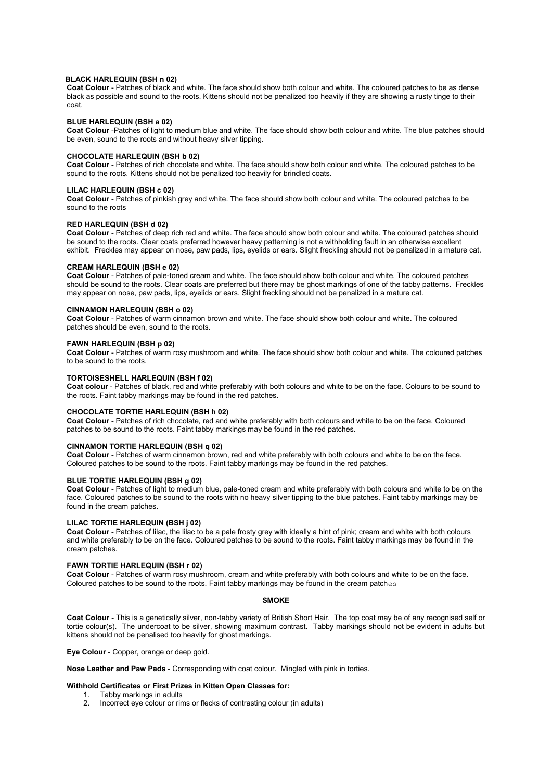#### **BLACK HARLEQUIN (BSH n 02)**

**Coat Colour** - Patches of black and white. The face should show both colour and white. The coloured patches to be as dense black as possible and sound to the roots. Kittens should not be penalized too heavily if they are showing a rusty tinge to their coat.

#### **BLUE HARLEQUIN (BSH a 02)**

**Coat Colour** -Patches of light to medium blue and white. The face should show both colour and white. The blue patches should be even, sound to the roots and without heavy silver tipping.

#### **CHOCOLATE HARLEQUIN (BSH b 02)**

**Coat Colour** - Patches of rich chocolate and white. The face should show both colour and white. The coloured patches to be sound to the roots. Kittens should not be penalized too heavily for brindled coats.

#### **LILAC HARLEQUIN (BSH c 02)**

**Coat Colour** - Patches of pinkish grey and white. The face should show both colour and white. The coloured patches to be sound to the roots

#### **RED HARLEQUIN (BSH d 02)**

**Coat Colour** - Patches of deep rich red and white. The face should show both colour and white. The coloured patches should be sound to the roots. Clear coats preferred however heavy patterning is not a withholding fault in an otherwise excellent exhibit. Freckles may appear on nose, paw pads, lips, eyelids or ears. Slight freckling should not be penalized in a mature cat.

#### **CREAM HARLEQUIN (BSH e 02)**

**Coat Colour** - Patches of pale-toned cream and white. The face should show both colour and white. The coloured patches should be sound to the roots. Clear coats are preferred but there may be ghost markings of one of the tabby patterns. Freckles may appear on nose, paw pads, lips, eyelids or ears. Slight freckling should not be penalized in a mature cat.

#### **CINNAMON HARLEQUIN (BSH o 02)**

**Coat Colour** - Patches of warm cinnamon brown and white. The face should show both colour and white. The coloured patches should be even, sound to the roots.

#### **FAWN HARLEQUIN (BSH p 02)**

**Coat Colour** - Patches of warm rosy mushroom and white. The face should show both colour and white. The coloured patches to be sound to the roots.

#### **TORTOISESHELL HARLEQUIN (BSH f 02)**

**Coat colour** - Patches of black, red and white preferably with both colours and white to be on the face. Colours to be sound to the roots. Faint tabby markings may be found in the red patches.

#### **CHOCOLATE TORTIE HARLEQUIN (BSH h 02)**

**Coat Colour** - Patches of rich chocolate, red and white preferably with both colours and white to be on the face. Coloured patches to be sound to the roots. Faint tabby markings may be found in the red patches.

## **CINNAMON TORTIE HARLEQUIN (BSH q 02)**

**Coat Colour** - Patches of warm cinnamon brown, red and white preferably with both colours and white to be on the face. Coloured patches to be sound to the roots. Faint tabby markings may be found in the red patches.

#### **BLUE TORTIE HARLEQUIN (BSH g 02)**

**Coat Colour** - Patches of light to medium blue, pale-toned cream and white preferably with both colours and white to be on the face. Coloured patches to be sound to the roots with no heavy silver tipping to the blue patches. Faint tabby markings may be found in the cream patches.

#### **LILAC TORTIE HARLEQUIN (BSH j 02)**

**Coat Colour** - Patches of lilac, the lilac to be a pale frosty grey with ideally a hint of pink; cream and white with both colours and white preferably to be on the face. Coloured patches to be sound to the roots. Faint tabby markings may be found in the cream patches.

### **FAWN TORTIE HARLEQUIN (BSH r 02)**

**Coat Colour** - Patches of warm rosy mushroom, cream and white preferably with both colours and white to be on the face. Coloured patches to be sound to the roots. Faint tabby markings may be found in the cream patches

#### **SMOKE**

**Coat Colour** - This is a genetically silver, non-tabby variety of British Short Hair. The top coat may be of any recognised self or tortie colour(s). The undercoat to be silver, showing maximum contrast. Tabby markings should not be evident in adults but kittens should not be penalised too heavily for ghost markings.

**Eye Colour** - Copper, orange or deep gold.

**Nose Leather and Paw Pads** - Corresponding with coat colour. Mingled with pink in torties.

# **Withhold Certificates or First Prizes in Kitten Open Classes for:**

1. Tabby markings in adults<br>2. Incorrect eve colour or rim Incorrect eye colour or rims or flecks of contrasting colour (in adults)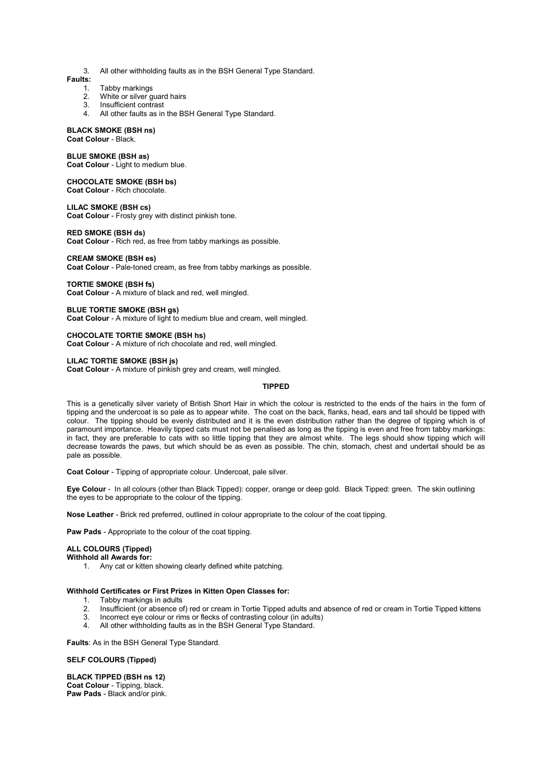3. All other withholding faults as in the BSH General Type Standard.

## **Faults:**

- 1. Tabby markings<br>2. White or silver g
- White or silver guard hairs
- 3. Insufficient contrast
- 4. All other faults as in the BSH General Type Standard.

### **BLACK SMOKE (BSH ns)**

## **Coat Colour** - Black.

#### **BLUE SMOKE (BSH as)**

**Coat Colour** - Light to medium blue.

## **CHOCOLATE SMOKE (BSH bs)**

**Coat Colour** - Rich chocolate.

#### **LILAC SMOKE (BSH cs)**

**Coat Colour** - Frosty grey with distinct pinkish tone.

#### **RED SMOKE (BSH ds)**

**Coat Colour** - Rich red, as free from tabby markings as possible.

## **CREAM SMOKE (BSH es)**

**Coat Colour** - Pale-toned cream, as free from tabby markings as possible.

#### **TORTIE SMOKE (BSH fs)**

**Coat Colour** - A mixture of black and red, well mingled.

#### **BLUE TORTIE SMOKE (BSH gs)**

**Coat Colour** - A mixture of light to medium blue and cream, well mingled.

#### **CHOCOLATE TORTIE SMOKE (BSH hs)**

**Coat Colour** - A mixture of rich chocolate and red, well mingled.

#### **LILAC TORTIE SMOKE (BSH js)**

**Coat Colour** - A mixture of pinkish grey and cream, well mingled.

#### **TIPPED**

This is a genetically silver variety of British Short Hair in which the colour is restricted to the ends of the hairs in the form of tipping and the undercoat is so pale as to appear white. The coat on the back, flanks, head, ears and tail should be tipped with colour. The tipping should be evenly distributed and it is the even distribution rather than the degree of tipping which is of paramount importance. Heavily tipped cats must not be penalised as long as the tipping is even and free from tabby markings: in fact, they are preferable to cats with so little tipping that they are almost white. The legs should show tipping which will decrease towards the paws, but which should be as even as possible. The chin, stomach, chest and undertail should be as pale as possible.

**Coat Colour** - Tipping of appropriate colour. Undercoat, pale silver.

**Eye Colour** - In all colours (other than Black Tipped): copper, orange or deep gold. Black Tipped: green. The skin outlining the eyes to be appropriate to the colour of the tipping.

**Nose Leather** - Brick red preferred, outlined in colour appropriate to the colour of the coat tipping.

**Paw Pads** - Appropriate to the colour of the coat tipping.

### **ALL COLOURS (Tipped)**

## **Withhold all Awards for:**

1. Any cat or kitten showing clearly defined white patching.

#### **Withhold Certificates or First Prizes in Kitten Open Classes for:**

- 1. Tabby markings in adults<br>2. Insufficient (or absence of
- 2. Insufficient (or absence of) red or cream in Tortie Tipped adults and absence of red or cream in Tortie Tipped kittens<br>3. Incorrect eve colour or rims or flecks of contrasting colour (in adults)
- Incorrect eye colour or rims or flecks of contrasting colour (in adults)
- 4. All other withholding faults as in the BSH General Type Standard.

**Faults**: As in the BSH General Type Standard.

#### **SELF COLOURS (Tipped)**

**BLACK TIPPED (BSH ns 12) Coat Colour** - Tipping, black. **Paw Pads** - Black and/or pink.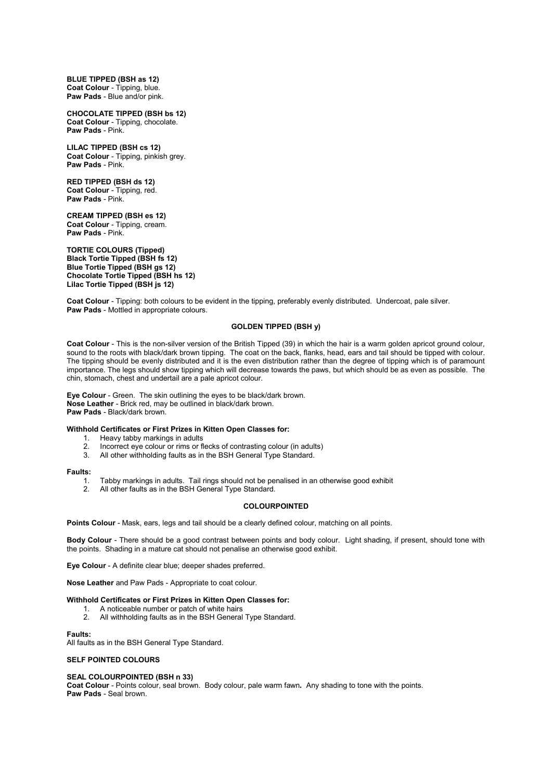**BLUE TIPPED (BSH as 12) Coat Colour** - Tipping, blue. **Paw Pads** - Blue and/or pink.

**CHOCOLATE TIPPED (BSH bs 12) Coat Colour** - Tipping, chocolate. **Paw Pads** - Pink.

#### **LILAC TIPPED (BSH cs 12) Coat Colour** - Tipping, pinkish grey. **Paw Pads** - Pink.

**RED TIPPED (BSH ds 12) Coat Colour** - Tipping, red. **Paw Pads** - Pink.

**CREAM TIPPED (BSH es 12) Coat Colour** - Tipping, cream. **Paw Pads** - Pink.

**TORTIE COLOURS (Tipped) Black Tortie Tipped (BSH fs 12) Blue Tortie Tipped (BSH gs 12) Chocolate Tortie Tipped (BSH hs 12) Lilac Tortie Tipped (BSH js 12)** 

**Coat Colour** - Tipping: both colours to be evident in the tipping, preferably evenly distributed. Undercoat, pale silver. **Paw Pads** - Mottled in appropriate colours.

### **GOLDEN TIPPED (BSH y)**

**Coat Colour** - This is the non-silver version of the British Tipped (39) in which the hair is a warm golden apricot ground colour. sound to the roots with black/dark brown tipping. The coat on the back, flanks, head, ears and tail should be tipped with colour. The tipping should be evenly distributed and it is the even distribution rather than the degree of tipping which is of paramount importance. The legs should show tipping which will decrease towards the paws, but which should be as even as possible. The chin, stomach, chest and undertail are a pale apricot colour.

**Eye Colour** - Green. The skin outlining the eyes to be black/dark brown. **Nose Leather** - Brick red, may be outlined in black/dark brown. **Paw Pads** - Black/dark brown.

#### **Withhold Certificates or First Prizes in Kitten Open Classes for:**

- 1. Heavy tabby markings in adults<br>2. Incorrect eve colour or rims or fl
- 2. Incorrect eye colour or rims or flecks of contrasting colour (in adults)<br>3. All other withholding faults as in the BSH General Type Standard
- All other withholding faults as in the BSH General Type Standard.

#### **Faults:**

- 1. Tabby markings in adults. Tail rings should not be penalised in an otherwise good exhibit 2<br>2. All other faults as in the BSH General Type Standard
- All other faults as in the BSH General Type Standard.

## **COLOURPOINTED**

**Points Colour** - Mask, ears, legs and tail should be a clearly defined colour, matching on all points.

**Body Colour** - There should be a good contrast between points and body colour. Light shading, if present, should tone with the points. Shading in a mature cat should not penalise an otherwise good exhibit.

**Eye Colour** - A definite clear blue; deeper shades preferred.

**Nose Leather** and Paw Pads - Appropriate to coat colour.

#### **Withhold Certificates or First Prizes in Kitten Open Classes for:**

- 1. A noticeable number or patch of white hairs<br>2. All withholding faults as in the BSH General
- All withholding faults as in the BSH General Type Standard.

#### **Faults:**

All faults as in the BSH General Type Standard.

#### **SELF POINTED COLOURS**

#### **SEAL COLOURPOINTED (BSH n 33)**

**Coat Colour** - Points colour, seal brown. Body colour, pale warm fawn*.* Any shading to tone with the points. **Paw Pads** - Seal brown.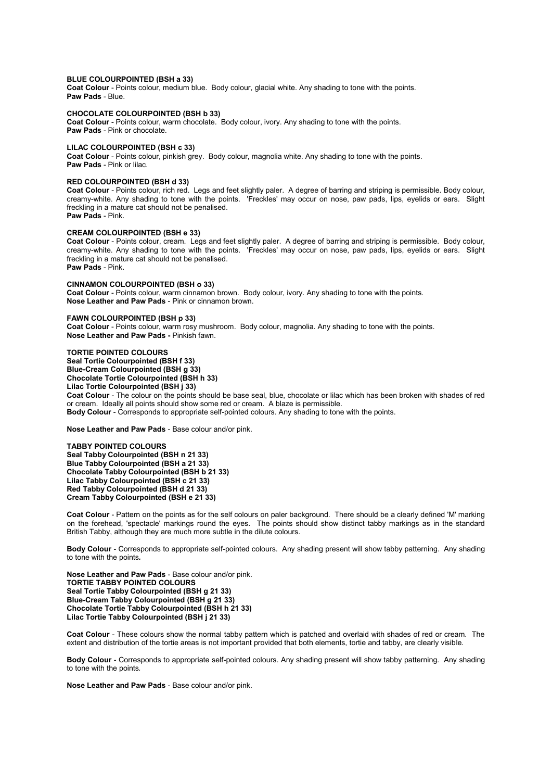#### **BLUE COLOURPOINTED (BSH a 33)**

**Coat Colour** - Points colour, medium blue. Body colour, glacial white. Any shading to tone with the points. **Paw Pads** - Blue.

#### **CHOCOLATE COLOURPOINTED (BSH b 33)**

**Coat Colour** - Points colour, warm chocolate. Body colour, ivory. Any shading to tone with the points. **Paw Pads** - Pink or chocolate.

#### **LILAC COLOURPOINTED (BSH c 33)**

**Coat Colour** - Points colour, pinkish grey. Body colour, magnolia white. Any shading to tone with the points. **Paw Pads** - Pink or lilac.

#### **RED COLOURPOINTED (BSH d 33)**

**Coat Colour** - Points colour, rich red. Legs and feet slightly paler. A degree of barring and striping is permissible. Body colour, creamy-white. Any shading to tone with the points. 'Freckles' may occur on nose, paw pads, lips, eyelids or ears. Slight freckling in a mature cat should not be penalised. **Paw Pads** - Pink.

#### **CREAM COLOURPOINTED (BSH e 33)**

**Coat Colour** - Points colour, cream. Legs and feet slightly paler. A degree of barring and striping is permissible. Body colour, creamy-white. Any shading to tone with the points. 'Freckles' may occur on nose, paw pads, lips, eyelids or ears. Slight freckling in a mature cat should not be penalised. **Paw Pads** - Pink.

#### **CINNAMON COLOURPOINTED (BSH o 33)**

**Coat Colour** - Points colour, warm cinnamon brown. Body colour, ivory. Any shading to tone with the points. **Nose Leather and Paw Pads** - Pink or cinnamon brown.

#### **FAWN COLOURPOINTED (BSH p 33)**

**Coat Colour** - Points colour, warm rosy mushroom. Body colour, magnolia. Any shading to tone with the points. **Nose Leather and Paw Pads -** Pinkish fawn.

**TORTIE POINTED COLOURS Seal Tortie Colourpointed (BSH f 33) Blue-Cream Colourpointed (BSH g 33) Chocolate Tortie Colourpointed (BSH h 33) Lilac Tortie Colourpointed (BSH j 33)** 

**Coat Colour** - The colour on the points should be base seal, blue, chocolate or lilac which has been broken with shades of red or cream. Ideally all points should show some red or cream. A blaze is permissible. **Body Colour** - Corresponds to appropriate self-pointed colours. Any shading to tone with the points.

**Nose Leather and Paw Pads** - Base colour and/or pink.

**TABBY POINTED COLOURS Seal Tabby Colourpointed (BSH n 21 33) Blue Tabby Colourpointed (BSH a 21 33) Chocolate Tabby Colourpointed (BSH b 21 33) Lilac Tabby Colourpointed (BSH c 21 33) Red Tabby Colourpointed (BSH d 21 33) Cream Tabby Colourpointed (BSH e 21 33)** 

**Coat Colour** - Pattern on the points as for the self colours on paler background. There should be a clearly defined 'M' marking on the forehead, 'spectacle' markings round the eyes. The points should show distinct tabby markings as in the standard British Tabby, although they are much more subtle in the dilute colours.

**Body Colour** - Corresponds to appropriate self-pointed colours. Any shading present will show tabby patterning. Any shading to tone with the points*.*

**Nose Leather and Paw Pads** - Base colour and/or pink. **TORTIE TABBY POINTED COLOURS Seal Tortie Tabby Colourpointed (BSH g 21 33) Blue-Cream Tabby Colourpointed (BSH g 21 33) Chocolate Tortie Tabby Colourpointed (BSH h 21 33) Lilac Tortie Tabby Colourpointed (BSH j 21 33)** 

**Coat Colour** - These colours show the normal tabby pattern which is patched and overlaid with shades of red or cream. The extent and distribution of the tortie areas is not important provided that both elements, tortie and tabby, are clearly visible.

**Body Colour** - Corresponds to appropriate self-pointed colours. Any shading present will show tabby patterning. Any shading to tone with the points*.* 

**Nose Leather and Paw Pads** - Base colour and/or pink.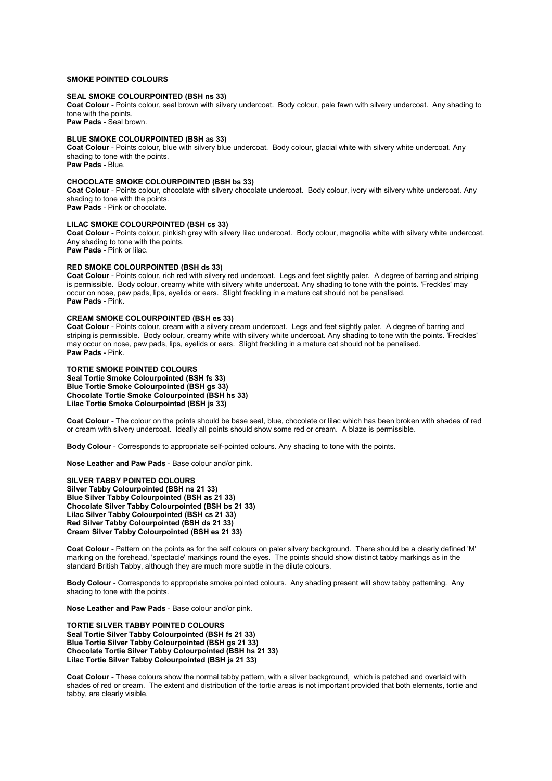### **SMOKE POINTED COLOURS**

#### **SEAL SMOKE COLOURPOINTED (BSH ns 33)**

**Coat Colour** - Points colour, seal brown with silvery undercoat. Body colour, pale fawn with silvery undercoat. Any shading to tone with the points.

**Paw Pads** - Seal brown.

## **BLUE SMOKE COLOURPOINTED (BSH as 33)**

**Coat Colour** - Points colour, blue with silvery blue undercoat. Body colour, glacial white with silvery white undercoat. Any shading to tone with the points. **Paw Pads** - Blue.

#### **CHOCOLATE SMOKE COLOURPOINTED (BSH bs 33)**

**Coat Colour** - Points colour, chocolate with silvery chocolate undercoat. Body colour, ivory with silvery white undercoat. Any shading to tone with the points.

**Paw Pads** - Pink or chocolate.

### **LILAC SMOKE COLOURPOINTED (BSH cs 33)**

**Coat Colour** - Points colour, pinkish grey with silvery lilac undercoat. Body colour, magnolia white with silvery white undercoat. Any shading to tone with the points. **Paw Pads** - Pink or lilac.

## **RED SMOKE COLOURPOINTED (BSH ds 33)**

**Coat Colour** - Points colour, rich red with silvery red undercoat. Legs and feet slightly paler. A degree of barring and striping is permissible. Body colour, creamy white with silvery white undercoat**.** Any shading to tone with the points. 'Freckles' may occur on nose, paw pads, lips, eyelids or ears. Slight freckling in a mature cat should not be penalised. **Paw Pads** - Pink.

### **CREAM SMOKE COLOURPOINTED (BSH es 33)**

**Coat Colour** - Points colour, cream with a silvery cream undercoat. Legs and feet slightly paler. A degree of barring and striping is permissible. Body colour, creamy white with silvery white undercoat. Any shading to tone with the points. 'Freckles' may occur on nose, paw pads, lips, eyelids or ears. Slight freckling in a mature cat should not be penalised. **Paw Pads** - Pink.

#### **TORTIE SMOKE POINTED COLOURS**

**Seal Tortie Smoke Colourpointed (BSH fs 33) Blue Tortie Smoke Colourpointed (BSH gs 33) Chocolate Tortie Smoke Colourpointed (BSH hs 33) Lilac Tortie Smoke Colourpointed (BSH js 33)** 

**Coat Colour** - The colour on the points should be base seal, blue, chocolate or lilac which has been broken with shades of red or cream with silvery undercoat. Ideally all points should show some red or cream. A blaze is permissible.

**Body Colour** - Corresponds to appropriate self-pointed colours. Any shading to tone with the points.

**Nose Leather and Paw Pads** - Base colour and/or pink.

**SILVER TABBY POINTED COLOURS Silver Tabby Colourpointed (BSH ns 21 33) Blue Silver Tabby Colourpointed (BSH as 21 33) Chocolate Silver Tabby Colourpointed (BSH bs 21 33) Lilac Silver Tabby Colourpointed (BSH cs 21 33) Red Silver Tabby Colourpointed (BSH ds 21 33) Cream Silver Tabby Colourpointed (BSH es 21 33)** 

**Coat Colour** - Pattern on the points as for the self colours on paler silvery background. There should be a clearly defined 'M' marking on the forehead, 'spectacle' markings round the eyes. The points should show distinct tabby markings as in the standard British Tabby, although they are much more subtle in the dilute colours.

**Body Colour** - Corresponds to appropriate smoke pointed colours. Any shading present will show tabby patterning. Any shading to tone with the points.

**Nose Leather and Paw Pads** - Base colour and/or pink.

**TORTIE SILVER TABBY POINTED COLOURS Seal Tortie Silver Tabby Colourpointed (BSH fs 21 33) Blue Tortie Silver Tabby Colourpointed (BSH gs 21 33) Chocolate Tortie Silver Tabby Colourpointed (BSH hs 21 33) Lilac Tortie Silver Tabby Colourpointed (BSH js 21 33)** 

**Coat Colour** - These colours show the normal tabby pattern, with a silver background, which is patched and overlaid with shades of red or cream. The extent and distribution of the tortie areas is not important provided that both elements, tortie and tabby, are clearly visible.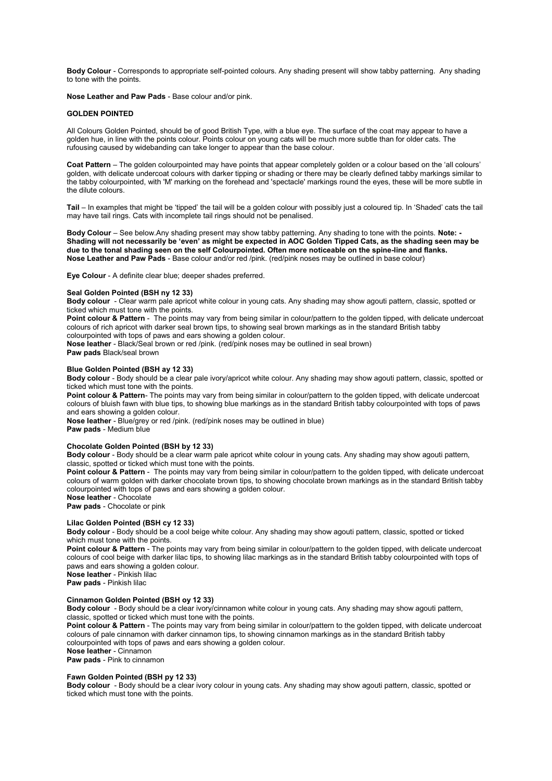**Body Colour** - Corresponds to appropriate self-pointed colours. Any shading present will show tabby patterning. Any shading to tone with the points.

**Nose Leather and Paw Pads** - Base colour and/or pink.

#### **GOLDEN POINTED**

All Colours Golden Pointed, should be of good British Type, with a blue eye. The surface of the coat may appear to have a golden hue, in line with the points colour. Points colour on young cats will be much more subtle than for older cats. The rufousing caused by widebanding can take longer to appear than the base colour.

**Coat Pattern** – The golden colourpointed may have points that appear completely golden or a colour based on the 'all colours' golden, with delicate undercoat colours with darker tipping or shading or there may be clearly defined tabby markings similar to the tabby colourpointed, with 'M' marking on the forehead and 'spectacle' markings round the eyes, these will be more subtle in the dilute colours.

**Tail** – In examples that might be 'tipped' the tail will be a golden colour with possibly just a coloured tip. In 'Shaded' cats the tail may have tail rings. Cats with incomplete tail rings should not be penalised.

**Body Colour** – See below.Any shading present may show tabby patterning. Any shading to tone with the points. **Note: - Shading will not necessarily be 'even' as might be expected in AOC Golden Tipped Cats, as the shading seen may be due to the tonal shading seen on the self Colourpointed. Often more noticeable on the spine-line and flanks. Nose Leather and Paw Pads** - Base colour and/or red /pink. (red/pink noses may be outlined in base colour)

**Eye Colour** - A definite clear blue; deeper shades preferred.

#### **Seal Golden Pointed (BSH ny 12 33)**

**Body colour** - Clear warm pale apricot white colour in young cats. Any shading may show agouti pattern, classic, spotted or ticked which must tone with the points.

Point colour & Pattern - The points may vary from being similar in colour/pattern to the golden tipped, with delicate undercoat colours of rich apricot with darker seal brown tips, to showing seal brown markings as in the standard British tabby colourpointed with tops of paws and ears showing a golden colour.

**Nose leather** - Black/Seal brown or red /pink. (red/pink noses may be outlined in seal brown)

**Paw pads** Black/seal brown

#### **Blue Golden Pointed (BSH ay 12 33)**

**Body colour** - Body should be a clear pale ivory/apricot white colour. Any shading may show agouti pattern, classic, spotted or ticked which must tone with the points.

Point colour & Pattern- The points may vary from being similar in colour/pattern to the golden tipped, with delicate undercoat colours of bluish fawn with blue tips, to showing blue markings as in the standard British tabby colourpointed with tops of paws and ears showing a golden colour.

**Nose leather** - Blue/grey or red /pink. (red/pink noses may be outlined in blue) **Paw pads** - Medium blue

#### **Chocolate Golden Pointed (BSH by 12 33)**

**Body colour** - Body should be a clear warm pale apricot white colour in young cats. Any shading may show agouti pattern, classic, spotted or ticked which must tone with the points.

**Point colour & Pattern** - The points may vary from being similar in colour/pattern to the golden tipped, with delicate undercoat colours of warm golden with darker chocolate brown tips, to showing chocolate brown markings as in the standard British tabby colourpointed with tops of paws and ears showing a golden colour.

**Nose leather** - Chocolate

**Paw pads** - Chocolate or pink

#### **Lilac Golden Pointed (BSH cy 12 33)**

**Body colour** - Body should be a cool beige white colour. Any shading may show agouti pattern, classic, spotted or ticked which must tone with the points.

**Point colour & Pattern** - The points may vary from being similar in colour/pattern to the golden tipped, with delicate undercoat colours of cool beige with darker lilac tips, to showing lilac markings as in the standard British tabby colourpointed with tops of paws and ears showing a golden colour.

**Nose leather** - Pinkish lilac **Paw pads** - Pinkish lilac

#### **Cinnamon Golden Pointed (BSH oy 12 33)**

**Body colour** - Body should be a clear ivory/cinnamon white colour in young cats. Any shading may show agouti pattern, classic, spotted or ticked which must tone with the points.

**Point colour & Pattern** - The points may vary from being similar in colour/pattern to the golden tipped, with delicate undercoat colours of pale cinnamon with darker cinnamon tips, to showing cinnamon markings as in the standard British tabby colourpointed with tops of paws and ears showing a golden colour. **Nose leather** - Cinnamon

**Paw pads** - Pink to cinnamon

#### **Fawn Golden Pointed (BSH py 12 33)**

**Body colour** - Body should be a clear ivory colour in young cats. Any shading may show agouti pattern, classic, spotted or ticked which must tone with the points.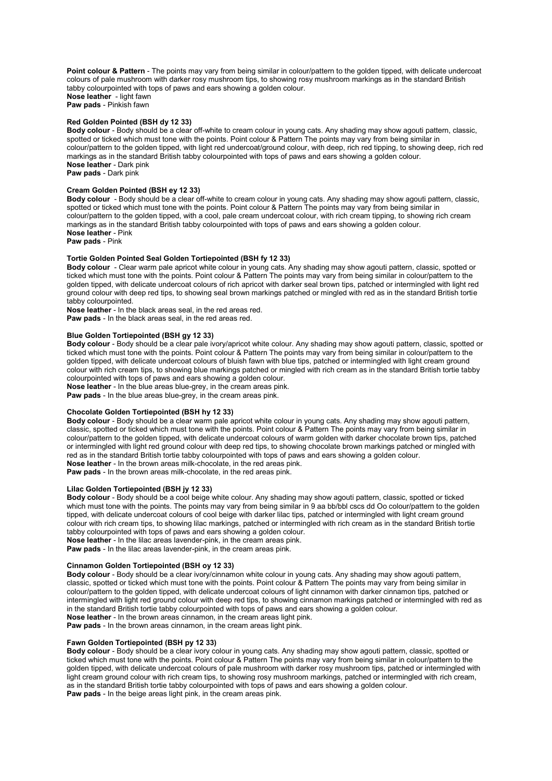**Point colour & Pattern** - The points may vary from being similar in colour/pattern to the golden tipped, with delicate undercoat colours of pale mushroom with darker rosy mushroom tips, to showing rosy mushroom markings as in the standard British tabby colourpointed with tops of paws and ears showing a golden colour. **Nose leather** - light fawn

**Paw pads** - Pinkish fawn

#### **Red Golden Pointed (BSH dy 12 33)**

**Body colour** - Body should be a clear off-white to cream colour in young cats. Any shading may show agouti pattern, classic, spotted or ticked which must tone with the points. Point colour & Pattern The points may vary from being similar in colour/pattern to the golden tipped, with light red undercoat/ground colour, with deep, rich red tipping, to showing deep, rich red markings as in the standard British tabby colourpointed with tops of paws and ears showing a golden colour. **Nose leather** - Dark pink **Paw pads** - Dark pink

### **Cream Golden Pointed (BSH ey 12 33)**

**Body colour** - Body should be a clear off-white to cream colour in young cats. Any shading may show agouti pattern, classic, spotted or ticked which must tone with the points. Point colour & Pattern The points may vary from being similar in colour/pattern to the golden tipped, with a cool, pale cream undercoat colour, with rich cream tipping, to showing rich cream markings as in the standard British tabby colourpointed with tops of paws and ears showing a golden colour. **Nose leather** - Pink

**Paw pads** - Pink

## **Tortie Golden Pointed Seal Golden Tortiepointed (BSH fy 12 33)**

**Body colour** - Clear warm pale apricot white colour in young cats. Any shading may show agouti pattern, classic, spotted or ticked which must tone with the points. Point colour & Pattern The points may vary from being similar in colour/pattern to the golden tipped, with delicate undercoat colours of rich apricot with darker seal brown tips, patched or intermingled with light red ground colour with deep red tips, to showing seal brown markings patched or mingled with red as in the standard British tortie tabby colourpointed.

**Nose leather** - In the black areas seal, in the red areas red.

**Paw pads** - In the black areas seal, in the red areas red.

#### **Blue Golden Tortiepointed (BSH gy 12 33)**

**Body colour** - Body should be a clear pale ivory/apricot white colour. Any shading may show agouti pattern, classic, spotted or ticked which must tone with the points. Point colour & Pattern The points may vary from being similar in colour/pattern to the golden tipped, with delicate undercoat colours of bluish fawn with blue tips, patched or intermingled with light cream ground colour with rich cream tips, to showing blue markings patched or mingled with rich cream as in the standard British tortie tabby colourpointed with tops of paws and ears showing a golden colour.

**Nose leather** - In the blue areas blue-grey, in the cream areas pink.

**Paw pads** - In the blue areas blue-grey, in the cream areas pink.

#### **Chocolate Golden Tortiepointed (BSH hy 12 33)**

**Body colour** - Body should be a clear warm pale apricot white colour in young cats. Any shading may show agouti pattern, classic, spotted or ticked which must tone with the points. Point colour & Pattern The points may vary from being similar in colour/pattern to the golden tipped, with delicate undercoat colours of warm golden with darker chocolate brown tips, patched or intermingled with light red ground colour with deep red tips, to showing chocolate brown markings patched or mingled with red as in the standard British tortie tabby colourpointed with tops of paws and ears showing a golden colour. **Nose leather** - In the brown areas milk-chocolate, in the red areas pink.

**Paw pads** - In the brown areas milk-chocolate, in the red areas pink.

#### **Lilac Golden Tortiepointed (BSH jy 12 33)**

**Body colour** - Body should be a cool beige white colour. Any shading may show agouti pattern, classic, spotted or ticked which must tone with the points. The points may vary from being similar in 9 aa bb/bbl cscs dd Oo colour/pattern to the golden tipped, with delicate undercoat colours of cool beige with darker lilac tips, patched or intermingled with light cream ground colour with rich cream tips, to showing lilac markings, patched or intermingled with rich cream as in the standard British tortie tabby colourpointed with tops of paws and ears showing a golden colour.

**Nose leather** - In the lilac areas lavender-pink, in the cream areas pink. **Paw pads** - In the lilac areas lavender-pink, in the cream areas pink.

### **Cinnamon Golden Tortiepointed (BSH oy 12 33)**

**Body colour** - Body should be a clear ivory/cinnamon white colour in young cats. Any shading may show agouti pattern, classic, spotted or ticked which must tone with the points. Point colour & Pattern The points may vary from being similar in colour/pattern to the golden tipped, with delicate undercoat colours of light cinnamon with darker cinnamon tips, patched or intermingled with light red ground colour with deep red tips, to showing cinnamon markings patched or intermingled with red as in the standard British tortie tabby colourpointed with tops of paws and ears showing a golden colour. **Nose leather** - In the brown areas cinnamon, in the cream areas light pink.

**Paw pads** - In the brown areas cinnamon, in the cream areas light pink.

### **Fawn Golden Tortiepointed (BSH py 12 33)**

**Body colour** - Body should be a clear ivory colour in young cats. Any shading may show agouti pattern, classic, spotted or ticked which must tone with the points. Point colour & Pattern The points may vary from being similar in colour/pattern to the golden tipped, with delicate undercoat colours of pale mushroom with darker rosy mushroom tips, patched or intermingled with light cream ground colour with rich cream tips, to showing rosy mushroom markings, patched or intermingled with rich cream, as in the standard British tortie tabby colourpointed with tops of paws and ears showing a golden colour. **Paw pads** - In the beige areas light pink, in the cream areas pink.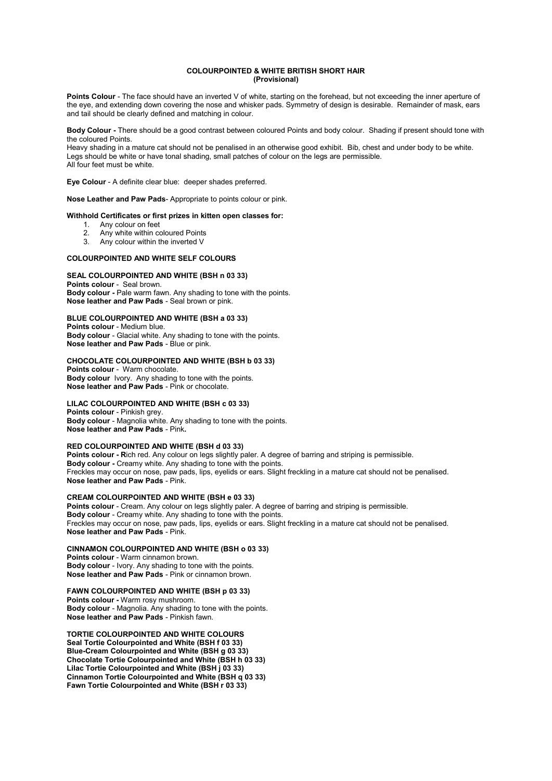#### **COLOURPOINTED & WHITE BRITISH SHORT HAIR (Provisional)**

**Points Colour** - The face should have an inverted V of white, starting on the forehead, but not exceeding the inner aperture of the eye, and extending down covering the nose and whisker pads. Symmetry of design is desirable. Remainder of mask, ears and tail should be clearly defined and matching in colour.

**Body Colour -** There should be a good contrast between coloured Points and body colour. Shading if present should tone with the coloured Points.

Heavy shading in a mature cat should not be penalised in an otherwise good exhibit. Bib, chest and under body to be white. Legs should be white or have tonal shading, small patches of colour on the legs are permissible. All four feet must be white.

**Eye Colour** - A definite clear blue: deeper shades preferred.

**Nose Leather and Paw Pads**- Appropriate to points colour or pink.

#### **Withhold Certificates or first prizes in kitten open classes for:**

- 1. Any colour on feet
- 2. Any white within coloured Points<br>3. Any colour within the inverted V
- Any colour within the inverted V

#### **COLOURPOINTED AND WHITE SELF COLOURS**

#### **SEAL COLOURPOINTED AND WHITE (BSH n 03 33)**

**Points colour** - Seal brown. **Body colour -** Pale warm fawn. Any shading to tone with the points. **Nose leather and Paw Pads** - Seal brown or pink.

## **BLUE COLOURPOINTED AND WHITE (BSH a 03 33)**

**Points colour** - Medium blue. **Body colour** - Glacial white. Any shading to tone with the points. **Nose leather and Paw Pads** - Blue or pink.

#### **CHOCOLATE COLOURPOINTED AND WHITE (BSH b 03 33)**

**Points colour** - Warm chocolate. **Body colour** Ivory. Any shading to tone with the points. **Nose leather and Paw Pads** - Pink or chocolate.

#### **LILAC COLOURPOINTED AND WHITE (BSH c 03 33)**

**Points colour** - Pinkish grey. **Body colour** - Magnolia white. Any shading to tone with the points. **Nose leather and Paw Pads** - Pink**.** 

#### **RED COLOURPOINTED AND WHITE (BSH d 03 33)**

Points colour - Rich red. Any colour on legs slightly paler. A degree of barring and striping is permissible. **Body colour -** Creamy white. Any shading to tone with the points. Freckles may occur on nose, paw pads, lips, eyelids or ears. Slight freckling in a mature cat should not be penalised. **Nose leather and Paw Pads** - Pink.

**CREAM COLOURPOINTED AND WHITE (BSH e 03 33)** 

Points colour - Cream. Any colour on legs slightly paler. A degree of barring and striping is permissible. **Body colour** - Creamy white. Any shading to tone with the points. Freckles may occur on nose, paw pads, lips, eyelids or ears. Slight freckling in a mature cat should not be penalised. **Nose leather and Paw Pads** - Pink.

#### **CINNAMON COLOURPOINTED AND WHITE (BSH o 03 33)**

**Points colour** - Warm cinnamon brown. **Body colour** - Ivory. Any shading to tone with the points. **Nose leather and Paw Pads** - Pink or cinnamon brown.

### **FAWN COLOURPOINTED AND WHITE (BSH p 03 33)**

**Points colour -** Warm rosy mushroom. **Body colour** - Magnolia. Any shading to tone with the points. **Nose leather and Paw Pads** - Pinkish fawn.

**TORTIE COLOURPOINTED AND WHITE COLOURS Seal Tortie Colourpointed and White (BSH f 03 33) Blue-Cream Colourpointed and White (BSH g 03 33) Chocolate Tortie Colourpointed and White (BSH h 03 33) Lilac Tortie Colourpointed and White (BSH j 03 33) Cinnamon Tortie Colourpointed and White (BSH q 03 33) Fawn Tortie Colourpointed and White (BSH r 03 33)**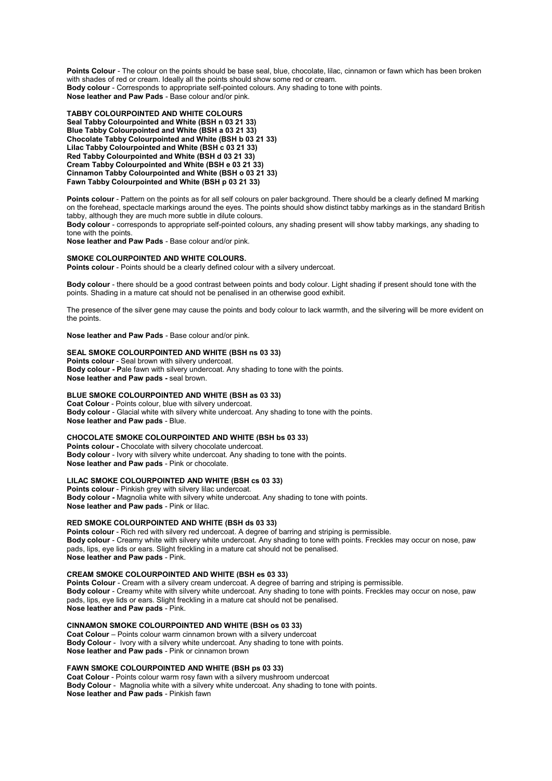**Points Colour** - The colour on the points should be base seal, blue, chocolate, lilac, cinnamon or fawn which has been broken with shades of red or cream. Ideally all the points should show some red or cream. **Body colour** - Corresponds to appropriate self-pointed colours. Any shading to tone with points. **Nose leather and Paw Pads** - Base colour and/or pink.

**TABBY COLOURPOINTED AND WHITE COLOURS Seal Tabby Colourpointed and White (BSH n 03 21 33) Blue Tabby Colourpointed and White (BSH a 03 21 33) Chocolate Tabby Colourpointed and White (BSH b 03 21 33)**  Lilac Tabby Colourpointed and White (BSH c 03 21 33) **Red Tabby Colourpointed and White (BSH d 03 21 33) Cream Tabby Colourpointed and White (BSH e 03 21 33) Cinnamon Tabby Colourpointed and White (BSH o 03 21 33) Fawn Tabby Colourpointed and White (BSH p 03 21 33)** 

Points colour - Pattern on the points as for all self colours on paler background. There should be a clearly defined M marking on the forehead, spectacle markings around the eyes. The points should show distinct tabby markings as in the standard British tabby, although they are much more subtle in dilute colours.

**Body colour** - corresponds to appropriate self-pointed colours, any shading present will show tabby markings, any shading to tone with the points.

**Nose leather and Paw Pads** - Base colour and/or pink.

#### **SMOKE COLOURPOINTED AND WHITE COLOURS.**

Points colour - Points should be a clearly defined colour with a silvery undercoat.

**Body colour** - there should be a good contrast between points and body colour. Light shading if present should tone with the points. Shading in a mature cat should not be penalised in an otherwise good exhibit.

The presence of the silver gene may cause the points and body colour to lack warmth, and the silvering will be more evident on the points.

**Nose leather and Paw Pads** - Base colour and/or pink.

## **SEAL SMOKE COLOURPOINTED AND WHITE (BSH ns 03 33)**

**Points colour** - Seal brown with silvery undercoat. **Body colour - P**ale fawn with silvery undercoat. Any shading to tone with the points. **Nose leather and Paw pads -** seal brown.

#### **BLUE SMOKE COLOURPOINTED AND WHITE (BSH as 03 33)**

**Coat Colour** - Points colour, blue with silvery undercoat. **Body colour** - Glacial white with silvery white undercoat. Any shading to tone with the points. **Nose leather and Paw pads** - Blue.

#### **CHOCOLATE SMOKE COLOURPOINTED AND WHITE (BSH bs 03 33)**

**Points colour -** Chocolate with silvery chocolate undercoat. **Body colour** - Ivory with silvery white undercoat. Any shading to tone with the points. **Nose leather and Paw pads** - Pink or chocolate.

**LILAC SMOKE COLOURPOINTED AND WHITE (BSH cs 03 33)** 

**Points colour** - Pinkish grey with silvery lilac undercoat. **Body colour -** Magnolia white with silvery white undercoat. Any shading to tone with points. **Nose leather and Paw pads** - Pink or lilac.

#### **RED SMOKE COLOURPOINTED AND WHITE (BSH ds 03 33)**

**Points colour** - Rich red with silvery red undercoat. A degree of barring and striping is permissible. **Body colour** - Creamy white with silvery white undercoat. Any shading to tone with points. Freckles may occur on nose, paw pads, lips, eye lids or ears. Slight freckling in a mature cat should not be penalised. **Nose leather and Paw pads** - Pink.

#### **CREAM SMOKE COLOURPOINTED AND WHITE (BSH es 03 33)**

**Points Colour** - Cream with a silvery cream undercoat. A degree of barring and striping is permissible. **Body colour** - Creamy white with silvery white undercoat. Any shading to tone with points. Freckles may occur on nose, paw pads, lips, eye lids or ears. Slight freckling in a mature cat should not be penalised. **Nose leather and Paw pads** - Pink.

## **CINNAMON SMOKE COLOURPOINTED AND WHITE (BSH os 03 33)**

**Coat Colour** – Points colour warm cinnamon brown with a silvery undercoat **Body Colour** - Ivory with a silvery white undercoat. Any shading to tone with points. **Nose leather and Paw pads** - Pink or cinnamon brown

#### **FAWN SMOKE COLOURPOINTED AND WHITE (BSH ps 03 33)**

**Coat Colour** - Points colour warm rosy fawn with a silvery mushroom undercoat **Body Colour** - Magnolia white with a silvery white undercoat. Any shading to tone with points. **Nose leather and Paw pads** - Pinkish fawn